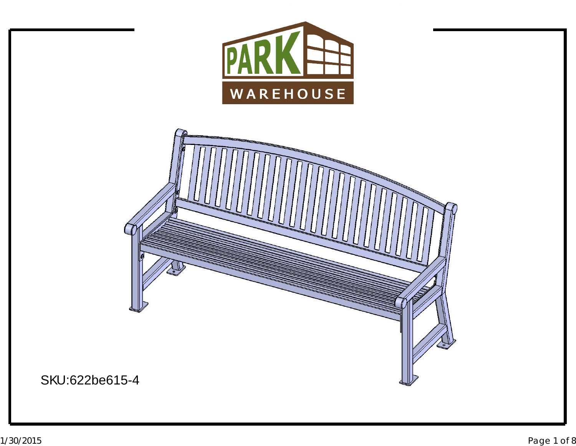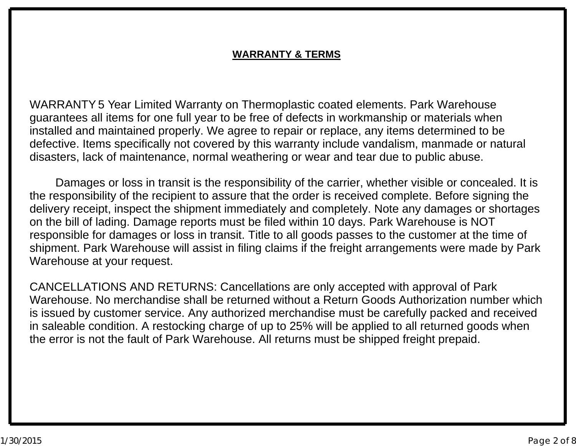#### **WARRANTY & TERMS**

WARRANTY5 Year Limited Warranty on Thermoplastic coated elements. Park Warehouse guarantees all items for one full year to be free of defects in workmanship or materials when disasters, lack of maintenance, normal weathering or wear and tear due to public abuse. defective. Items specifically not covered by this warranty include vandalism, manmade or natural installed and maintained properly. We agree to repair or replace, any items determined to be

Damages or loss in transit is the responsibility of the carrier, whether visible or concealed. It is the responsibility of the recipient to assure that the order is received complete. Before signing the Warehouse at your request. shipment. Park Warehouse will assist in filing claims if the freight arrangements were made by Park responsible for damages or loss in transit. Title to all goods passes to the customer at the time of on the bill of lading. Damage reports must be filed within <sup>10</sup> days. Park Warehouse is NOTdelivery receipt, inspect the shipment immediately and completely. Note any damages or shortages

CANCELLATIONS AND RETURNS: Cancellations are only accepted with approval of Park<br>Warehouse, Ne merchandise shall be returned without a Peture Goods Authorization numb Warehouse. No merchandise shall be returned without <sup>a</sup> Return Goods Authorization number which the error is not the fault of Park Warehouse. All returns must be shipped freight prepaid. in saleable condition. A restocking charge of up to 25% will be applied to all returned goods when<br>the error is not the fault of Park Warehouse. All returns must he shinned freight prepaid is issued by customer service. Any authorized merchandise must be carefully packed and received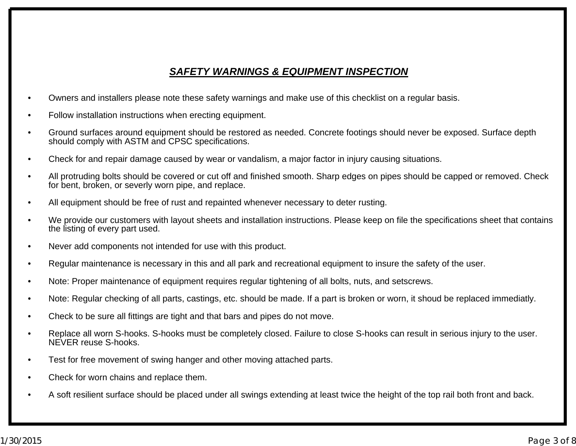#### *SAFETY WARNINGS & EQUIPMENT INSPECTION*

- •Owners and installers please note these safety warnings and make use of this checklist on <sup>a</sup> regular basis.
- •Follow installation instructions when erecting equipment.
- • Ground surfaces around equipment should be restored as needed. Concrete footings should never be exposed. Surface depth should comply with ASTM and CPSC specifications.
- •Check for and repair damage caused by wear or vandalism, <sup>a</sup> major factor in injury causing situations.
- • All protruding bolts should be covered or cut off and finished smooth. Sharp edges on pipes should be capped or removed. Check for bent, broken, or severly worn pipe, and replace.
- •All equipment should be free of rust and repainted whenever necessary to deter rusting.
- • We provide our customers with layout sheets and installation instructions. Please keep on file the specifications sheet that contains the listing of every part used.
- •Never add components not intended for use with this product.
- •Regular maintenance is necessary in this and all park and recreational equipment to insure the safety of the user.
- •Note: Proper maintenance of equipment requires regular tightening of all bolts, nuts, and setscrews.
- •Note: Regular checking of all parts, castings, etc. should be made. If <sup>a</sup> part is broken or worn, it shoud be replaced immediatly.
- •Check to be sure all fittings are tight and that bars and pipes do not move.
- • Replace all worn S-hooks. S-hooks must be completely closed. Failure to close S-hooks can result in serious injury to the user. NEVER reuse S-hooks.
- •Test for free movement of swing hanger and other moving attached parts.
- •Check for worn chains and replace them.
- •A soft resilient surface should be placed under all swings extending at least twice the height of the top rail both front and back.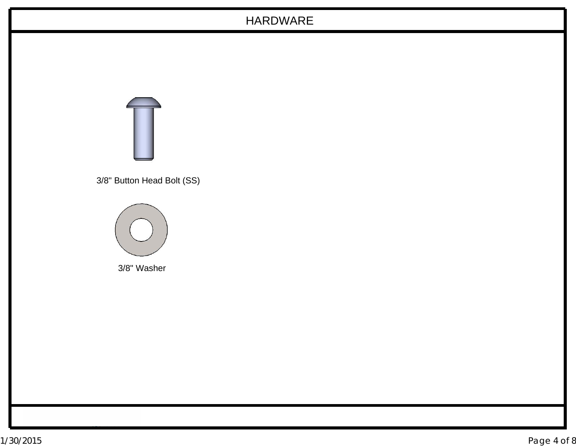# HARDWARE



3/8" Button Head Bolt (SS)



3/8" Washer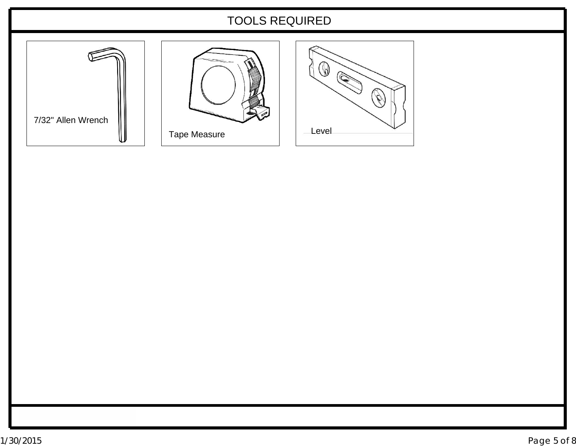## TOOLS REQUIRED

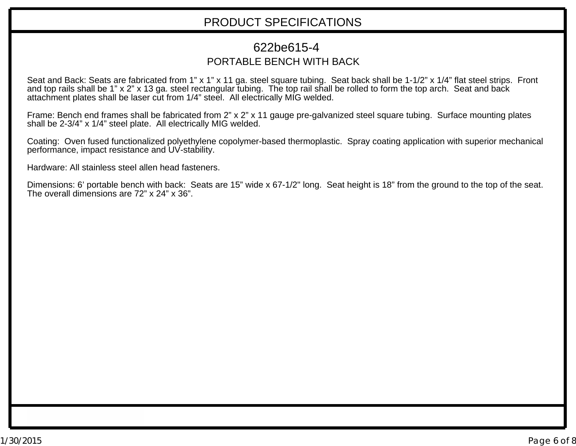#### PRODUCT SPECIFICATIONS

## PORTABLE BENCH WITH BACK 622be615-4

Seat and Back: Seats are fabricated from 1" <sup>x</sup> 1" <sup>x</sup> 11 ga. steel square tubing. Seat back shall be 1-1/2" <sup>x</sup> 1/4" flat steel strips. Front and top rails shall be 1" <sup>x</sup> 2" <sup>x</sup> 13 ga. steel rectangular tubing. The top rail shall be rolled to form the top arch. Seat and back attachment plates shall be laser cut from 1/4" steel. All electrically MIG welded.

Frame: Bench end frames shall be fabricated from 2" <sup>x</sup> 2" <sup>x</sup> 11 gauge pre-galvanized steel square tubing. Surface mounting plates shall be 2-3/4" <sup>x</sup> 1/4" steel plate. All electrically MIG welded.

Coating: Oven fused functionalized polyethylene copolymer-based thermoplastic. Spray coating application with superior mechanical performance, impact resistance and UV-stability.

Hardware: All stainless steel allen head fasteners.

Dimensions: 6' portable bench with back: Seats are 15" wide <sup>x</sup> 67-1/2" long. Seat height is 18" from the ground to the top of the seat. The overall dimensions are 72" <sup>x</sup> 24" <sup>x</sup> 36".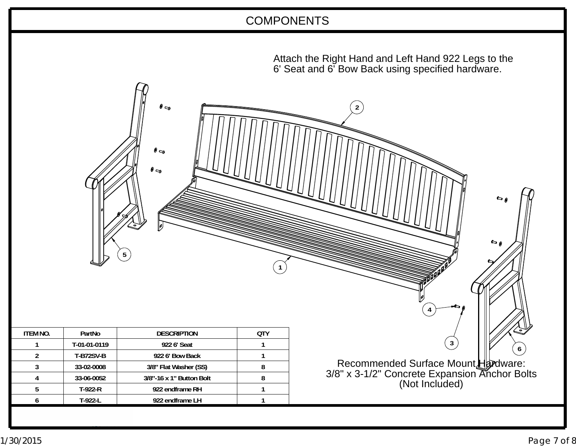## COMPONENTS